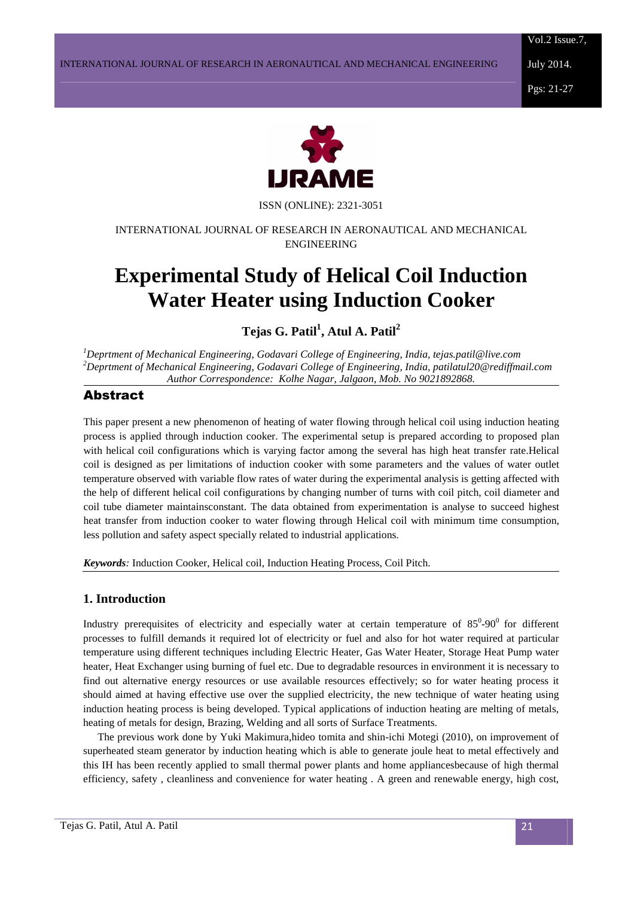Vol.2 Issue.7,

July 2014.

Pgs: 21-27



ISSN (ONLINE): 2321-3051

## INTERNATIONAL JOURNAL OF RESEARCH IN AERONAUTICAL AND MECHANICAL ENGINEERING

# **Experimental Study of Helical Coil Induction Water Heater using Induction Cooker**

**Tejas G. Patil<sup>1</sup> , Atul A. Patil<sup>2</sup>**

*<sup>1</sup>Deprtment of Mechanical Engineering, Godavari College of Engineering, India, tejas.patil@live.com <sup>2</sup>Deprtment of Mechanical Engineering, Godavari College of Engineering, India, patilatul20@rediffmail.com Author Correspondence: Kolhe Nagar, Jalgaon, Mob. No 9021892868.*

# Abstract

This paper present a new phenomenon of heating of water flowing through helical coil using induction heating process is applied through induction cooker. The experimental setup is prepared according to proposed plan with helical coil configurations which is varying factor among the several has high heat transfer rate.Helical coil is designed as per limitations of induction cooker with some parameters and the values of water outlet temperature observed with variable flow rates of water during the experimental analysis is getting affected with the help of different helical coil configurations by changing number of turns with coil pitch, coil diameter and coil tube diameter maintainsconstant. The data obtained from experimentation is analyse to succeed highest heat transfer from induction cooker to water flowing through Helical coil with minimum time consumption, less pollution and safety aspect specially related to industrial applications.

*Keywords:* Induction Cooker, Helical coil, Induction Heating Process, Coil Pitch.

# **1. Introduction**

Industry prerequisites of electricity and especially water at certain temperature of  $85^0$ -90<sup>0</sup> for different processes to fulfill demands it required lot of electricity or fuel and also for hot water required at particular temperature using different techniques including Electric Heater, Gas Water Heater, Storage Heat Pump water heater, Heat Exchanger using burning of fuel etc. Due to degradable resources in environment it is necessary to find out alternative energy resources or use available resources effectively; so for water heating process it should aimed at having effective use over the supplied electricity, the new technique of water heating using induction heating process is being developed. Typical applications of induction heating are melting of metals, heating of metals for design, Brazing, Welding and all sorts of Surface Treatments.

The previous work done by Yuki Makimura,hideo tomita and shin-ichi Motegi (2010), on improvement of superheated steam generator by induction heating which is able to generate joule heat to metal effectively and this IH has been recently applied to small thermal power plants and home appliancesbecause of high thermal efficiency, safety , cleanliness and convenience for water heating . A green and renewable energy, high cost,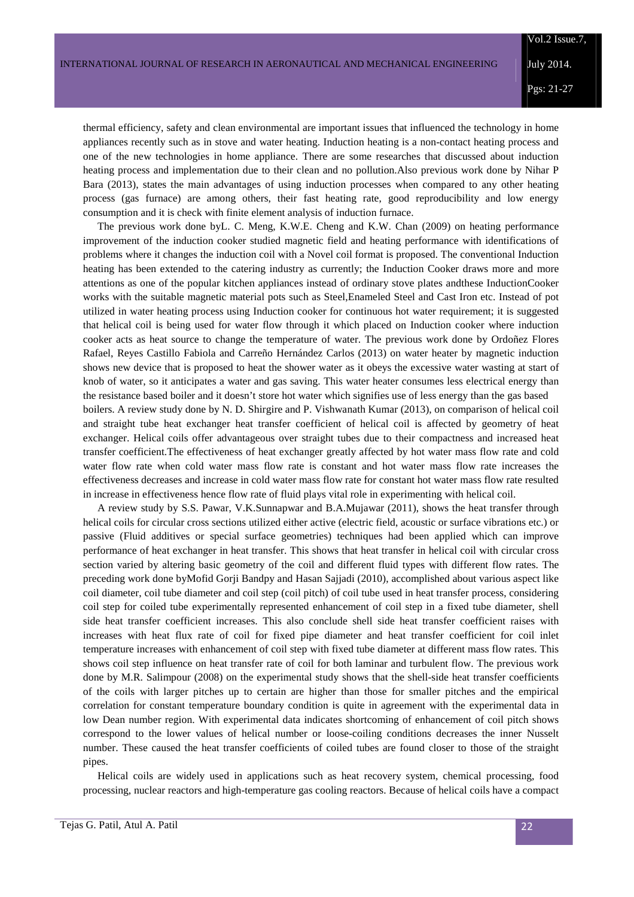thermal efficiency, safety and clean environmental are important issues that influenced the technology in home appliances recently such as in stove and water heating. Induction heating is a non-contact heating process and one of the new technologies in home appliance. There are some researches that discussed about induction heating process and implementation due to their clean and no pollution.Also previous work done by Nihar P Bara (2013), states the main advantages of using induction processes when compared to any other heating process (gas furnace) are among others, their fast heating rate, good reproducibility and low energy consumption and it is check with finite element analysis of induction furnace.

The previous work done byL. C. Meng, K.W.E. Cheng and K.W. Chan (2009) on heating performance improvement of the induction cooker studied magnetic field and heating performance with identifications of problems where it changes the induction coil with a Novel coil format is proposed. The conventional Induction heating has been extended to the catering industry as currently; the Induction Cooker draws more and more attentions as one of the popular kitchen appliances instead of ordinary stove plates andthese InductionCooker works with the suitable magnetic material pots such as Steel,Enameled Steel and Cast Iron etc. Instead of pot utilized in water heating process using Induction cooker for continuous hot water requirement; it is suggested that helical coil is being used for water flow through it which placed on Induction cooker where induction cooker acts as heat source to change the temperature of water. The previous work done by Ordoñez Flores Rafael, Reyes Castillo Fabiola and Carreño Hernández Carlos (2013) on water heater by magnetic induction shows new device that is proposed to heat the shower water as it obeys the excessive water wasting at start of knob of water, so it anticipates a water and gas saving. This water heater consumes less electrical energy than the resistance based boiler and it doesn't store hot water which signifies use of less energy than the gas based boilers. A review study done by N. D. Shirgire and P. Vishwanath Kumar (2013), on comparison of helical coil and straight tube heat exchanger heat transfer coefficient of helical coil is affected by geometry of heat exchanger. Helical coils offer advantageous over straight tubes due to their compactness and increased heat transfer coefficient.The effectiveness of heat exchanger greatly affected by hot water mass flow rate and cold water flow rate when cold water mass flow rate is constant and hot water mass flow rate increases the effectiveness decreases and increase in cold water mass flow rate for constant hot water mass flow rate resulted in increase in effectiveness hence flow rate of fluid plays vital role in experimenting with helical coil.

A review study by S.S. Pawar, V.K.Sunnapwar and B.A.Mujawar (2011), shows the heat transfer through helical coils for circular cross sections utilized either active (electric field, acoustic or surface vibrations etc.) or passive (Fluid additives or special surface geometries) techniques had been applied which can improve performance of heat exchanger in heat transfer. This shows that heat transfer in helical coil with circular cross section varied by altering basic geometry of the coil and different fluid types with different flow rates. The preceding work done byMofid Gorji Bandpy and Hasan Sajjadi (2010), accomplished about various aspect like coil diameter, coil tube diameter and coil step (coil pitch) of coil tube used in heat transfer process, considering coil step for coiled tube experimentally represented enhancement of coil step in a fixed tube diameter, shell side heat transfer coefficient increases. This also conclude shell side heat transfer coefficient raises with increases with heat flux rate of coil for fixed pipe diameter and heat transfer coefficient for coil inlet temperature increases with enhancement of coil step with fixed tube diameter at different mass flow rates. This shows coil step influence on heat transfer rate of coil for both laminar and turbulent flow. The previous work done by M.R. Salimpour (2008) on the experimental study shows that the shell-side heat transfer coefficients of the coils with larger pitches up to certain are higher than those for smaller pitches and the empirical correlation for constant temperature boundary condition is quite in agreement with the experimental data in low Dean number region. With experimental data indicates shortcoming of enhancement of coil pitch shows correspond to the lower values of helical number or loose-coiling conditions decreases the inner Nusselt number. These caused the heat transfer coefficients of coiled tubes are found closer to those of the straight pipes.

Helical coils are widely used in applications such as heat recovery system, chemical processing, food processing, nuclear reactors and high-temperature gas cooling reactors. Because of helical coils have a compact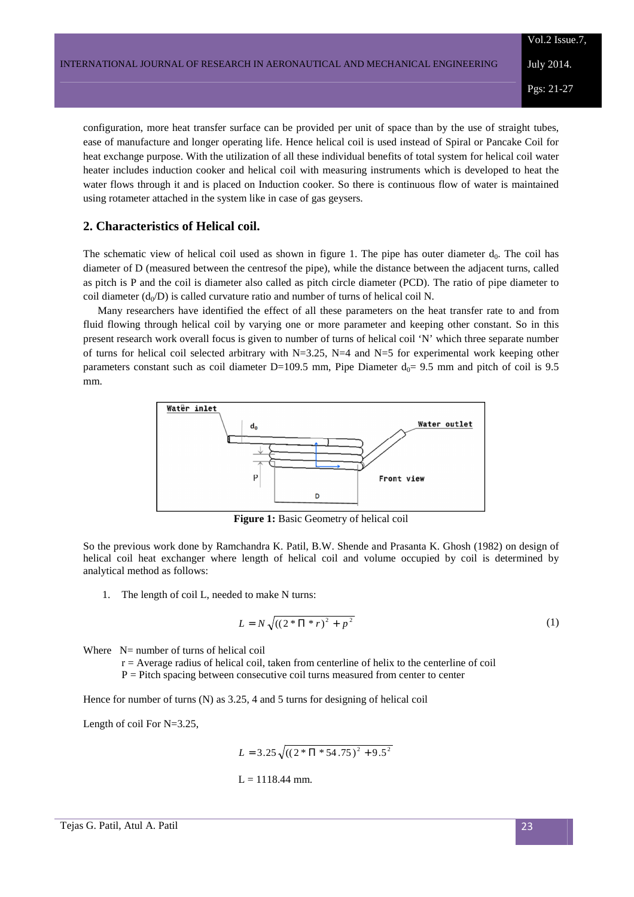configuration, more heat transfer surface can be provided per unit of space than by the use of straight tubes, ease of manufacture and longer operating life. Hence helical coil is used instead of Spiral or Pancake Coil for heat exchange purpose. With the utilization of all these individual benefits of total system for helical coil water heater includes induction cooker and helical coil with measuring instruments which is developed to heat the water flows through it and is placed on Induction cooker. So there is continuous flow of water is maintained using rotameter attached in the system like in case of gas geysers.

## **2. Characteristics of Helical coil.**

The schematic view of helical coil used as shown in figure 1. The pipe has outer diameter  $d_0$ . The coil has diameter of D (measured between the centresof the pipe), while the distance between the adjacent turns, called as pitch is P and the coil is diameter also called as pitch circle diameter (PCD). The ratio of pipe diameter to coil diameter  $(d_0/D)$  is called curvature ratio and number of turns of helical coil N.

Many researchers have identified the effect of all these parameters on the heat transfer rate to and from fluid flowing through helical coil by varying one or more parameter and keeping other constant. So in this present research work overall focus is given to number of turns of helical coil 'N' which three separate number of turns for helical coil selected arbitrary with N=3.25, N=4 and N=5 for experimental work keeping other parameters constant such as coil diameter D=109.5 mm, Pipe Diameter  $d_0$ = 9.5 mm and pitch of coil is 9.5 mm.



**Figure 1:** Basic Geometry of helical coil

So the previous work done by Ramchandra K. Patil, B.W. Shende and Prasanta K. Ghosh (1982) on design of helical coil heat exchanger where length of helical coil and volume occupied by coil is determined by analytical method as follows:

1. The length of coil L, needed to make N turns:

$$
L = N\sqrt{((2*\Pi * r)^2 + p^2)}
$$
 (1)

Where N= number of turns of helical coil

r = Average radius of helical coil, taken from centerline of helix to the centerline of coil

 $P =$  Pitch spacing between consecutive coil turns measured from center to center

Hence for number of turns (N) as 3.25, 4 and 5 turns for designing of helical coil

Length of coil For N=3.25,

$$
L = 3.25 \sqrt{((2 * \Pi * 54.75)^2 + 9.5^2)}
$$
  
L = 1118.44 mm.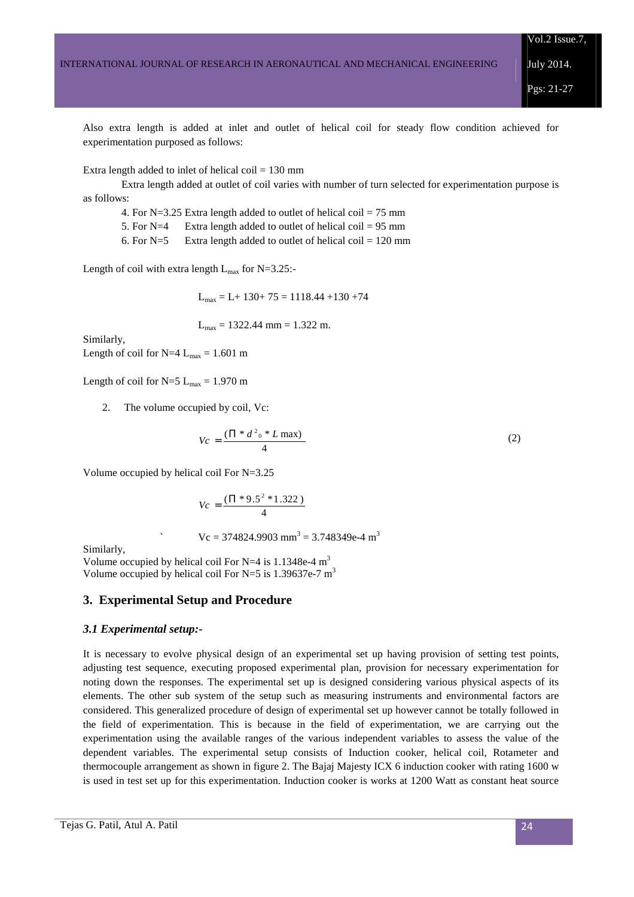July 2014.

Pgs: 21-27

Also extra length is added at inlet and outlet of helical coil for steady flow condition achieved for experimentation purposed as follows:

Extra length added to inlet of helical coil  $= 130$  mm

 Extra length added at outlet of coil varies with number of turn selected for experimentation purpose is as follows:

4. For  $N=3.25$  Extra length added to outlet of helical coil = 75 mm

5. For  $N=4$  Extra length added to outlet of helical coil = 95 mm

6. For  $N=5$  Extra length added to outlet of helical coil = 120 mm

Length of coil with extra length  $L_{\text{max}}$  for N=3.25:-

 $L_{\text{max}} = L + 130 + 75 = 1118.44 + 130 + 74$ 

 $L_{\text{max}} = 1322.44 \text{ mm} = 1.322 \text{ m}.$ 

Similarly, Length of coil for N=4  $L_{max}$  = 1.601 m

Length of coil for  $N=5$  L<sub>max</sub> = 1.970 m

2. The volume occupied by coil, Vc:

$$
Vc = \frac{(\Pi * d^2_0 * L \max)}{4}
$$
 (2)

Volume occupied by helical coil For N=3.25

$$
Vc = \frac{(\Pi * 9.5^2 * 1.322)}{4}
$$

 $\text{Vc} = 374824.9903 \text{ mm}^3 = 3.748349 \text{e}^{-4} \text{ m}^3$ 

Similarly,

Volume occupied by helical coil For N=4 is  $1.1348e-4 m<sup>3</sup>$ Volume occupied by helical coil For N=5 is 1.39637e-7  $m<sup>3</sup>$ 

### **3. Experimental Setup and Procedure**

#### *3.1 Experimental setup:-*

It is necessary to evolve physical design of an experimental set up having provision of setting test points, adjusting test sequence, executing proposed experimental plan, provision for necessary experimentation for noting down the responses. The experimental set up is designed considering various physical aspects of its elements. The other sub system of the setup such as measuring instruments and environmental factors are considered. This generalized procedure of design of experimental set up however cannot be totally followed in the field of experimentation. This is because in the field of experimentation, we are carrying out the experimentation using the available ranges of the various independent variables to assess the value of the dependent variables. The experimental setup consists of Induction cooker, helical coil, Rotameter and thermocouple arrangement as shown in figure 2. The Bajaj Majesty ICX 6 induction cooker with rating 1600 w is used in test set up for this experimentation. Induction cooker is works at 1200 Watt as constant heat source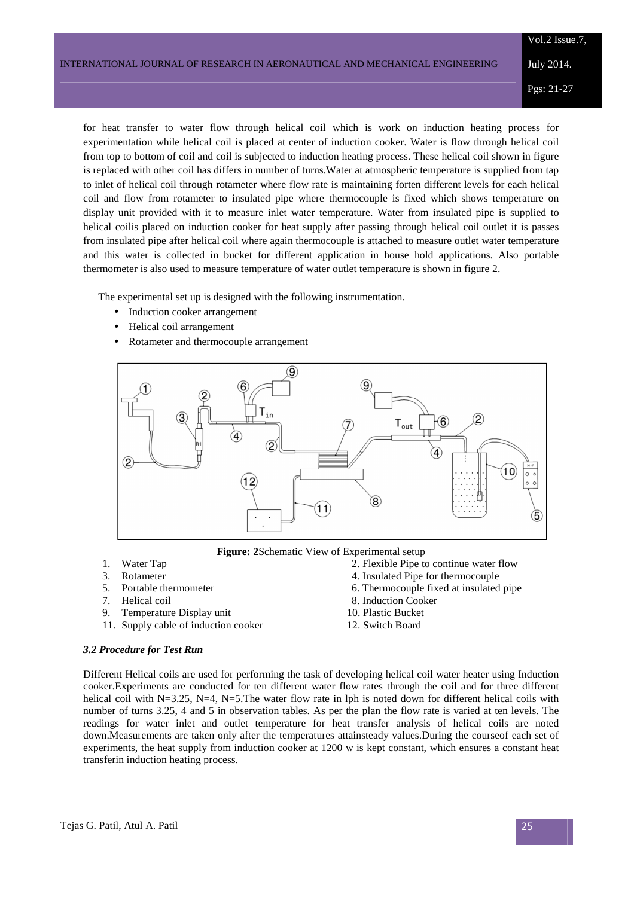for heat transfer to water flow through helical coil which is work on induction heating process for experimentation while helical coil is placed at center of induction cooker. Water is flow through helical coil from top to bottom of coil and coil is subjected to induction heating process. These helical coil shown in figure is replaced with other coil has differs in number of turns.Water at atmospheric temperature is supplied from tap to inlet of helical coil through rotameter where flow rate is maintaining forten different levels for each helical coil and flow from rotameter to insulated pipe where thermocouple is fixed which shows temperature on display unit provided with it to measure inlet water temperature. Water from insulated pipe is supplied to helical coilis placed on induction cooker for heat supply after passing through helical coil outlet it is passes from insulated pipe after helical coil where again thermocouple is attached to measure outlet water temperature and this water is collected in bucket for different application in house hold applications. Also portable thermometer is also used to measure temperature of water outlet temperature is shown in figure 2.

The experimental set up is designed with the following instrumentation.

- Induction cooker arrangement
- Helical coil arrangement
- Rotameter and thermocouple arrangement



**Figure: 2**Schematic View of Experimental setup

- 
- 
- 
- 7. Helical coil 8. Induction Cooker
- 9. Temperature Display unit 10. Plastic Bucket
- 11. Supply cable of induction cooker 12. Switch Board
- 1. Water Tap 2. Flexible Pipe to continue water flow
- 3. Rotameter 4. Insulated Pipe for thermocouple
- 5. Portable thermometer 6. Thermocouple fixed at insulated pipe
	-
	-
	-

#### *3.2 Procedure for Test Run*

Different Helical coils are used for performing the task of developing helical coil water heater using Induction cooker.Experiments are conducted for ten different water flow rates through the coil and for three different helical coil with N=3.25, N=4, N=5. The water flow rate in lph is noted down for different helical coils with number of turns 3.25, 4 and 5 in observation tables. As per the plan the flow rate is varied at ten levels. The readings for water inlet and outlet temperature for heat transfer analysis of helical coils are noted down.Measurements are taken only after the temperatures attainsteady values.During the courseof each set of experiments, the heat supply from induction cooker at 1200 w is kept constant, which ensures a constant heat transferin induction heating process.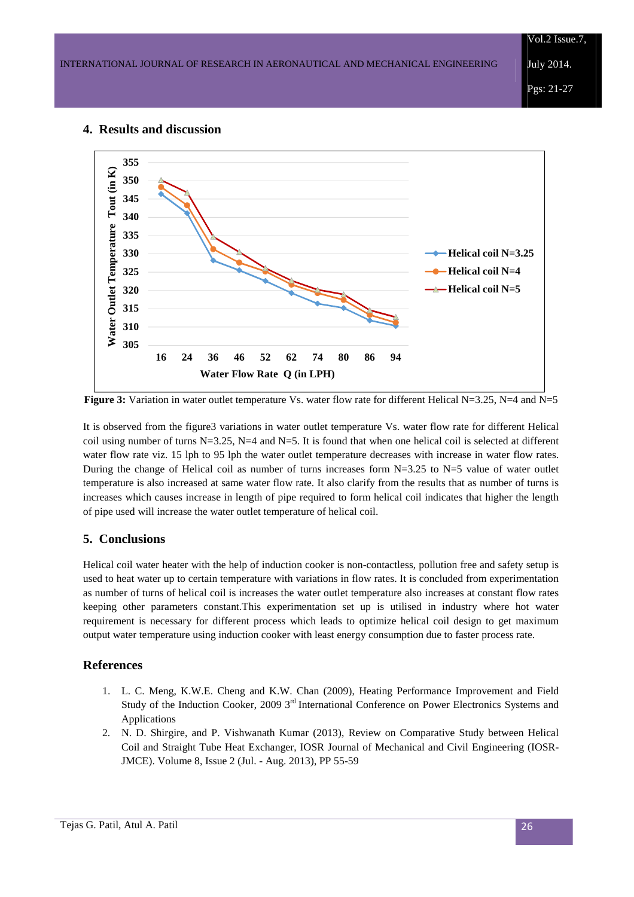Vol.2 Issue.7,

July 2014.

Pgs: 21-27

## **355 Water Outlet Temperature Tout (in K)**  Water Outlet Temperature Tout (in K) **350 345 340 335 Helical coil N=3.25 330 325 Helical coil N=4 Helical coil N=5320 315 310 305 16 24 36 46 52 62 74 80 86 94 Water Flow Rate Q (in LPH)**

## **4. Results and discussion**

**Figure 3:** Variation in water outlet temperature Vs. water flow rate for different Helical N=3.25, N=4 and N=5

It is observed from the figure3 variations in water outlet temperature Vs. water flow rate for different Helical coil using number of turns N=3.25, N=4 and N=5. It is found that when one helical coil is selected at different water flow rate viz. 15 lph to 95 lph the water outlet temperature decreases with increase in water flow rates. During the change of Helical coil as number of turns increases form  $N=3.25$  to  $N=5$  value of water outlet temperature is also increased at same water flow rate. It also clarify from the results that as number of turns is increases which causes increase in length of pipe required to form helical coil indicates that higher the length of pipe used will increase the water outlet temperature of helical coil.

# **5. Conclusions**

Helical coil water heater with the help of induction cooker is non-contactless, pollution free and safety setup is used to heat water up to certain temperature with variations in flow rates. It is concluded from experimentation as number of turns of helical coil is increases the water outlet temperature also increases at constant flow rates keeping other parameters constant.This experimentation set up is utilised in industry where hot water requirement is necessary for different process which leads to optimize helical coil design to get maximum output water temperature using induction cooker with least energy consumption due to faster process rate.

# **References**

- 1. L. C. Meng, K.W.E. Cheng and K.W. Chan (2009), Heating Performance Improvement and Field Study of the Induction Cooker, 2009 3<sup>rd</sup> International Conference on Power Electronics Systems and Applications
- 2. N. D. Shirgire, and P. Vishwanath Kumar (2013), Review on Comparative Study between Helical Coil and Straight Tube Heat Exchanger, IOSR Journal of Mechanical and Civil Engineering (IOSR-JMCE). Volume 8, Issue 2 (Jul. - Aug. 2013), PP 55-59